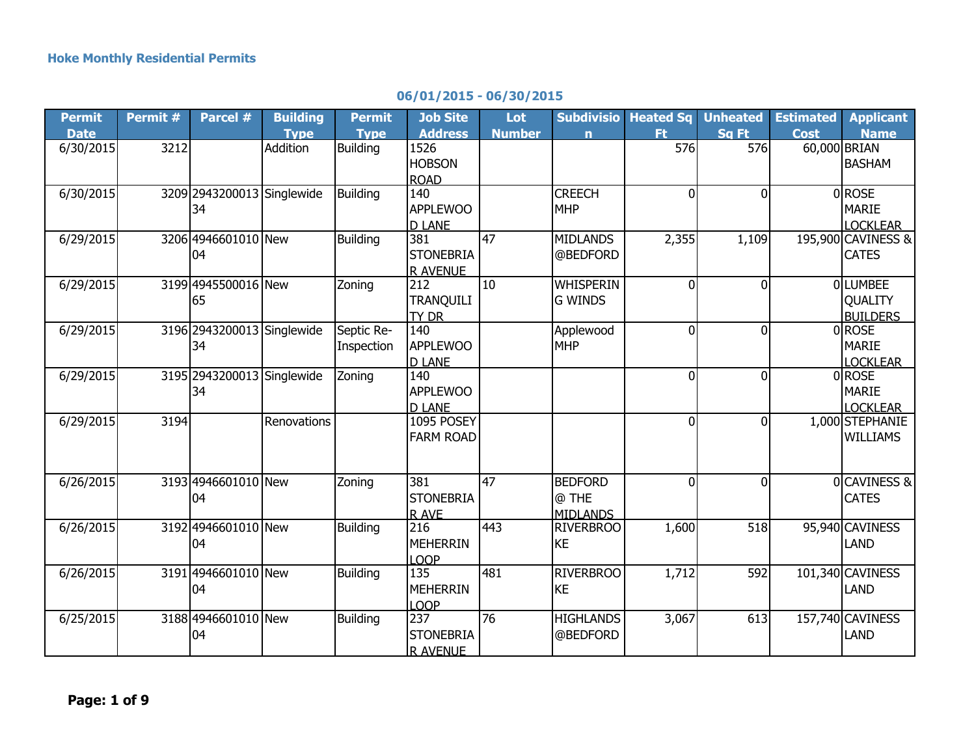## **06/01/2015 - 06/30/2015**

| <b>Permit</b> | Permit # | Parcel #                   | <b>Building</b> | <b>Permit</b>   | <b>Job Site</b>   | Lot           | <b>Subdivisio</b> | <b>Heated Sq</b> | <b>Unheated</b> | <b>Estimated</b> | <b>Applicant</b>   |
|---------------|----------|----------------------------|-----------------|-----------------|-------------------|---------------|-------------------|------------------|-----------------|------------------|--------------------|
| <b>Date</b>   |          |                            | <b>Type</b>     | <b>Type</b>     | <b>Address</b>    | <b>Number</b> | $\mathbf n$       | Ft.              | Sq Ft           | <b>Cost</b>      | <b>Name</b>        |
| 6/30/2015     | 3212     |                            | Addition        | <b>Building</b> | 1526              |               |                   | 576              | 576             | 60,000 BRIAN     |                    |
|               |          |                            |                 |                 | <b>HOBSON</b>     |               |                   |                  |                 |                  | <b>BASHAM</b>      |
|               |          |                            |                 |                 | <b>ROAD</b>       |               |                   |                  |                 |                  |                    |
| 6/30/2015     |          | 3209 2943200013 Singlewide |                 | <b>Building</b> | 140               |               | <b>CREECH</b>     | $\overline{0}$   | $\Omega$        |                  | 0ROSE              |
|               |          | 34                         |                 |                 | <b>APPLEWOO</b>   |               | <b>MHP</b>        |                  |                 |                  | <b>MARIE</b>       |
|               |          |                            |                 |                 | <b>D LANE</b>     |               |                   |                  |                 |                  | <b>LOCKLEAR</b>    |
| 6/29/2015     |          | 3206 4946601010 New        |                 | <b>Building</b> | 381               | 47            | <b>MIDLANDS</b>   | 2,355            | 1,109           |                  | 195,900 CAVINESS & |
|               |          | 04                         |                 |                 | <b>STONEBRIA</b>  |               | @BEDFORD          |                  |                 |                  | <b>CATES</b>       |
|               |          |                            |                 |                 | <b>R AVENUE</b>   |               |                   |                  |                 |                  |                    |
| 6/29/2015     |          | 3199 4945500016 New        |                 | Zoning          | 212               | 10            | <b>WHISPERIN</b>  | $\Omega$         | $\mathbf{0}$    |                  | <b>OLUMBEE</b>     |
|               |          | 65                         |                 |                 | <b>TRANQUILI</b>  |               | <b>G WINDS</b>    |                  |                 |                  | <b>QUALITY</b>     |
|               |          |                            |                 |                 | TY DR             |               |                   |                  |                 |                  | <b>BUILDERS</b>    |
| 6/29/2015     |          | 3196 2943200013            | Singlewide      | Septic Re-      | 140               |               | Applewood         | $\overline{0}$   | $\Omega$        |                  | 0ROSE              |
|               |          | 34                         |                 | Inspection      | <b>APPLEWOO</b>   |               | <b>MHP</b>        |                  |                 |                  | <b>MARIE</b>       |
|               |          |                            |                 |                 | <b>D LANE</b>     |               |                   |                  |                 |                  | <b>LOCKLEAR</b>    |
| 6/29/2015     |          | 3195 2943200013 Singlewide |                 | Zoning          | 140               |               |                   | $\overline{0}$   | $\mathbf{0}$    |                  | $0$ ROSE           |
|               |          | 34                         |                 |                 | <b>APPLEWOO</b>   |               |                   |                  |                 |                  | <b>MARIE</b>       |
|               |          |                            |                 |                 | <b>D LANE</b>     |               |                   |                  |                 |                  | <b>LOCKLEAR</b>    |
| 6/29/2015     | 3194     |                            | Renovations     |                 | 1095 POSEY        |               |                   | $\overline{0}$   | $\Omega$        |                  | 1,000 STEPHANIE    |
|               |          |                            |                 |                 | <b>FARM ROAD</b>  |               |                   |                  |                 |                  | <b>WILLIAMS</b>    |
|               |          |                            |                 |                 |                   |               |                   |                  |                 |                  |                    |
|               |          |                            |                 |                 |                   |               |                   |                  |                 |                  |                    |
| 6/26/2015     |          | 3193 4946601010 New        |                 | Zoning          | 381               | 47            | <b>BEDFORD</b>    | $\overline{0}$   | $\Omega$        |                  | 0CAVINESS &        |
|               |          | 04                         |                 |                 | <b>STONEBRIA</b>  |               | @ THE             |                  |                 |                  | <b>CATES</b>       |
|               |          |                            |                 |                 | R AVE             |               | <b>MIDLANDS</b>   |                  |                 |                  |                    |
| 6/26/2015     |          | 3192 4946601010 New        |                 | <b>Building</b> | 216               | 443           | <b>RIVERBROO</b>  | 1,600            | 518             |                  | 95,940 CAVINESS    |
|               |          | 04                         |                 |                 | <b>MEHERRIN</b>   |               | <b>KE</b>         |                  |                 |                  | <b>LAND</b>        |
|               |          |                            |                 |                 | LOOP              |               |                   |                  |                 |                  |                    |
| 6/26/2015     |          | 3191 4946601010 New        |                 | <b>Building</b> | $\frac{135}{135}$ | 481           | <b>RIVERBROO</b>  | 1,712            | 592             |                  | 101,340 CAVINESS   |
|               |          | 04                         |                 |                 | <b>MEHERRIN</b>   |               | <b>KE</b>         |                  |                 |                  | <b>LAND</b>        |
|               |          |                            |                 |                 | <b>LOOP</b>       |               |                   |                  |                 |                  |                    |
| 6/25/2015     |          | 3188 4946601010 New        |                 | <b>Building</b> | 237               | 76            | <b>HIGHLANDS</b>  | 3,067            | 613             |                  | 157,740 CAVINESS   |
|               |          | 04                         |                 |                 | <b>STONEBRIA</b>  |               | @BEDFORD          |                  |                 |                  | <b>LAND</b>        |
|               |          |                            |                 |                 | <b>R AVENUE</b>   |               |                   |                  |                 |                  |                    |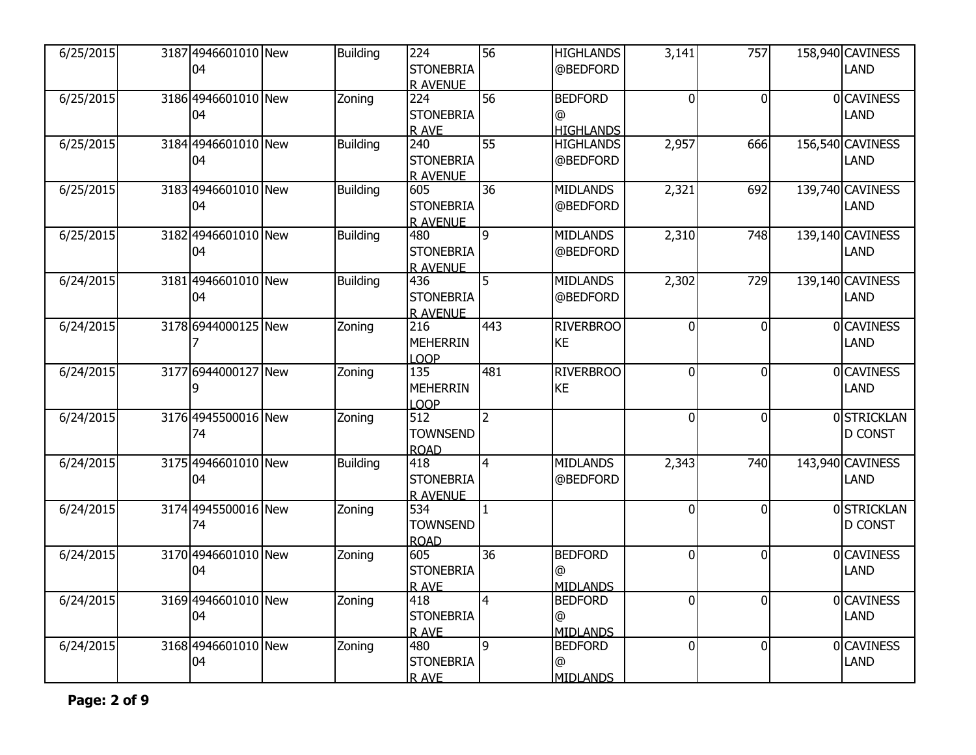| 6/25/2015 | 3187 4946601010 New<br>04 | <b>Building</b> | 224<br><b>STONEBRIA</b><br>R AVENUE                     | 56             | <b>HIGHLANDS</b><br>@BEDFORD            | 3,141          | 757            | 158,940 CAVINESS<br><b>LAND</b> |
|-----------|---------------------------|-----------------|---------------------------------------------------------|----------------|-----------------------------------------|----------------|----------------|---------------------------------|
| 6/25/2015 | 3186 4946601010 New<br>04 | Zoning          | 224<br><b>STONEBRIA</b><br>R AVE                        | 56             | <b>BEDFORD</b><br>@<br><b>HIGHLANDS</b> | 0              | $\overline{0}$ | <b>OCAVINESS</b><br>LAND        |
| 6/25/2015 | 3184 4946601010 New<br>04 | <b>Building</b> | $\overline{240}$<br><b>STONEBRIA</b><br><b>R AVENUE</b> | 55             | <b>HIGHLANDS</b><br>@BEDFORD            | 2,957          | 666            | 156,540 CAVINESS<br><b>LAND</b> |
| 6/25/2015 | 3183 4946601010 New<br>04 | <b>Building</b> | 605<br><b>STONEBRIA</b><br>R AVENUE                     | 36             | <b>MIDLANDS</b><br>@BEDFORD             | 2,321          | 692            | 139,740 CAVINESS<br>LAND        |
| 6/25/2015 | 3182 4946601010 New<br>04 | <b>Building</b> | 480<br><b>STONEBRIA</b><br><b>R AVENUE</b>              | 9              | <b>MIDLANDS</b><br>@BEDFORD             | 2,310          | 748            | 139,140 CAVINESS<br><b>LAND</b> |
| 6/24/2015 | 3181 4946601010 New<br>04 | <b>Building</b> | 436<br><b>STONEBRIA</b><br><b>R AVENUE</b>              | $\overline{5}$ | <b>MIDLANDS</b><br>@BEDFORD             | 2,302          | 729            | 139,140 CAVINESS<br><b>LAND</b> |
| 6/24/2015 | 3178 6944000125 New       | Zoning          | 216<br><b>MEHERRIN</b><br>LOOP                          | 443            | <b>RIVERBROO</b><br><b>KE</b>           | $\overline{0}$ | $\overline{0}$ | 0 CAVINESS<br>LAND              |
| 6/24/2015 | 3177 6944000127 New<br>9  | Zoning          | 135<br><b>MEHERRIN</b><br>LOOP                          | 481            | <b>RIVERBROO</b><br><b>KE</b>           | $\overline{0}$ | $\overline{0}$ | 0 CAVINESS<br>LAND              |
| 6/24/2015 | 3176 4945500016 New<br>74 | Zoning          | 512<br><b>TOWNSEND</b><br><b>ROAD</b>                   | $\overline{2}$ |                                         | $\overline{0}$ | $\overline{0}$ | 0STRICKLAN<br><b>D CONST</b>    |
| 6/24/2015 | 3175 4946601010 New<br>04 | <b>Building</b> | 418<br><b>STONEBRIA</b><br><b>R AVENUE</b>              | $\overline{4}$ | <b>MIDLANDS</b><br>@BEDFORD             | 2,343          | 740            | 143,940 CAVINESS<br>LAND        |
| 6/24/2015 | 3174 4945500016 New<br>74 | Zoning          | 534<br><b>TOWNSEND</b><br><b>ROAD</b>                   | $\mathbf{1}$   |                                         | $\Omega$       | $\overline{0}$ | 0STRICKLAN<br><b>D CONST</b>    |
| 6/24/2015 | 3170 4946601010 New<br>04 | Zoning          | 605<br><b>STONEBRIA</b><br><b>RAVE</b>                  | 36             | <b>BEDFORD</b><br>@<br><b>MIDLANDS</b>  | $\overline{0}$ | $\overline{0}$ | 0CAVINESS<br>LAND               |
| 6/24/2015 | 3169 4946601010 New<br>04 | Zoning          | 418<br><b>STONEBRIA</b><br>R AVE                        | $\overline{4}$ | <b>BEDFORD</b><br>@<br><b>MIDLANDS</b>  | $\overline{0}$ | $\overline{0}$ | 0 CAVINESS<br><b>LAND</b>       |
| 6/24/2015 | 3168 4946601010 New<br>04 | Zoning          | 480<br><b>STONEBRIA</b><br><b>RAVE</b>                  | 9              | <b>BEDFORD</b><br>@<br><b>MIDLANDS</b>  | $\overline{0}$ | $\overline{0}$ | 0CAVINESS<br>LAND               |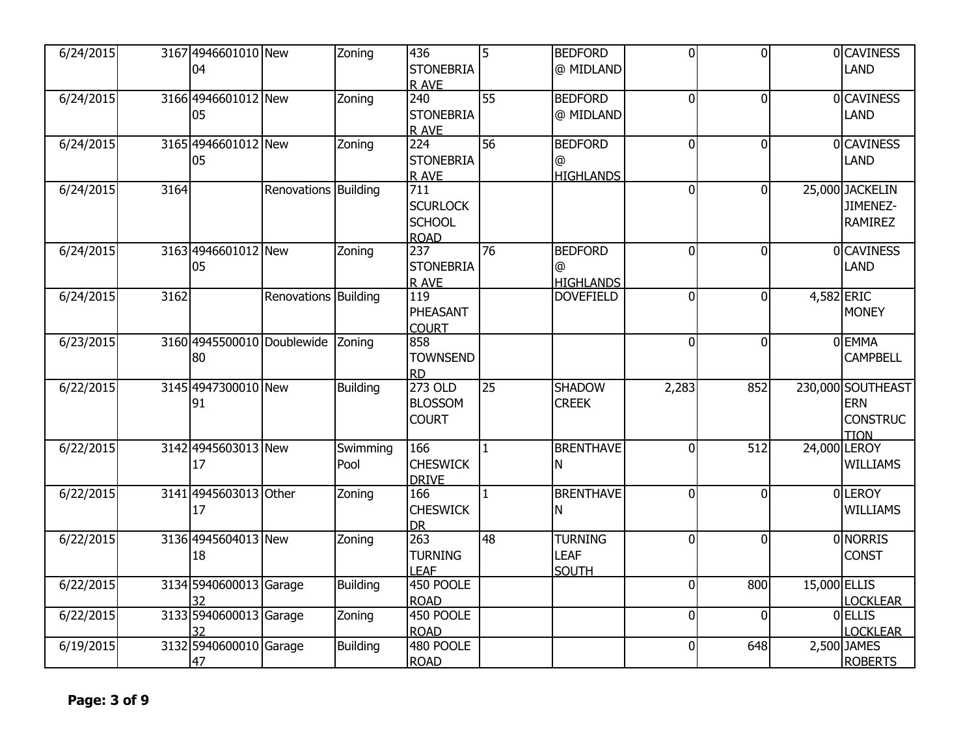| 6/24/2015 |      | 3167 4946601010 New<br>04        |                      | Zoning           | 436<br><b>STONEBRIA</b><br>R AVE                                    | 5               | <b>BEDFORD</b><br>@ MIDLAND                   | $\Omega$       | $\overline{0}$ |              | <b>OCAVINESS</b><br>LAND                                          |
|-----------|------|----------------------------------|----------------------|------------------|---------------------------------------------------------------------|-----------------|-----------------------------------------------|----------------|----------------|--------------|-------------------------------------------------------------------|
| 6/24/2015 |      | 3166 4946601012 New<br>05        |                      | Zoning           | 240<br><b>STONEBRIA</b><br>R AVE                                    | 55              | <b>BEDFORD</b><br>@ MIDLAND                   | $\overline{0}$ | $\overline{0}$ |              | <b>OCAVINESS</b><br>LAND                                          |
| 6/24/2015 |      | 3165 4946601012 New<br>05        |                      | Zoning           | 224<br><b>STONEBRIA</b><br>R AVE                                    | 56              | <b>BEDFORD</b><br>@<br><b>HIGHLANDS</b>       | $\overline{0}$ | $\overline{0}$ |              | 0 CAVINESS<br>LAND                                                |
| 6/24/2015 | 3164 |                                  | Renovations Building |                  | $\overline{711}$<br><b>SCURLOCK</b><br><b>SCHOOL</b><br><b>ROAD</b> |                 |                                               | $\overline{0}$ | $\overline{0}$ |              | 25,000 JACKELIN<br>JIMENEZ-<br><b>RAMIREZ</b>                     |
| 6/24/2015 |      | 3163 4946601012 New<br>05        |                      | Zoning           | 237<br><b>STONEBRIA</b><br>R AVE                                    | 76              | <b>BEDFORD</b><br>@<br><b>HIGHLANDS</b>       | $\overline{0}$ | $\Omega$       |              | <b>OCAVINESS</b><br>LAND                                          |
| 6/24/2015 | 3162 |                                  | Renovations Building |                  | 119<br>PHEASANT<br><b>COURT</b>                                     |                 | <b>DOVEFIELD</b>                              | $\Omega$       | ΩI             |              | 4,582 ERIC<br><b>MONEY</b>                                        |
| 6/23/2015 |      | 3160 4945500010 Doublewide<br>80 |                      | Zoning           | 858<br><b>TOWNSEND</b><br><b>RD</b>                                 |                 |                                               | $\overline{0}$ | $\overline{0}$ |              | 0EMMA<br><b>CAMPBELL</b>                                          |
| 6/22/2015 |      | 3145 4947300010 New<br>91        |                      | <b>Building</b>  | 273 OLD<br><b>BLOSSOM</b><br><b>COURT</b>                           | $\overline{25}$ | <b>SHADOW</b><br><b>CREEK</b>                 | 2,283          | 852            |              | 230,000 SOUTHEAST<br><b>ERN</b><br><b>CONSTRUC</b><br><b>TION</b> |
| 6/22/2015 |      | 3142 4945603013 New<br>17        |                      | Swimming<br>Pool | 166<br><b>CHESWICK</b><br><b>DRIVE</b>                              | $\mathbf{1}$    | <b>BRENTHAVE</b><br>N                         | $\Omega$       | 512            |              | 24,000 LEROY<br><b>WILLIAMS</b>                                   |
| 6/22/2015 |      | 3141 4945603013 Other<br>17      |                      | Zoning           | 166<br><b>CHESWICK</b><br><b>DR</b>                                 | $\mathbf{1}$    | <b>BRENTHAVE</b><br>N                         | $\overline{0}$ | $\Omega$       |              | 0LEROY<br><b>WILLIAMS</b>                                         |
| 6/22/2015 |      | 3136 4945604013 New<br>18        |                      | Zoning           | 263<br><b>TURNING</b><br><b>LEAF</b>                                | 48              | <b>TURNING</b><br><b>LEAF</b><br><b>SOUTH</b> | $\overline{0}$ | $\overline{0}$ |              | <b>ONORRIS</b><br><b>CONST</b>                                    |
| 6/22/2015 |      | 3134 5940600013 Garage<br>32     |                      | <b>Building</b>  | 450 POOLE<br><b>ROAD</b>                                            |                 |                                               | $\overline{0}$ | 800            | 15,000 ELLIS | <b>LOCKLEAR</b>                                                   |
| 6/22/2015 |      | 3133 5940600013 Garage<br>32     |                      | Zoning           | 450 POOLE<br><b>ROAD</b>                                            |                 |                                               | $\overline{0}$ | $\Omega$       |              | <b>O</b> ELLIS<br>LOCKLEAR                                        |
| 6/19/2015 |      | 3132 5940600010 Garage<br>47     |                      | <b>Building</b>  | 480 POOLE<br><b>ROAD</b>                                            |                 |                                               | $\overline{0}$ | 648            |              | 2,500 JAMES<br><b>ROBERTS</b>                                     |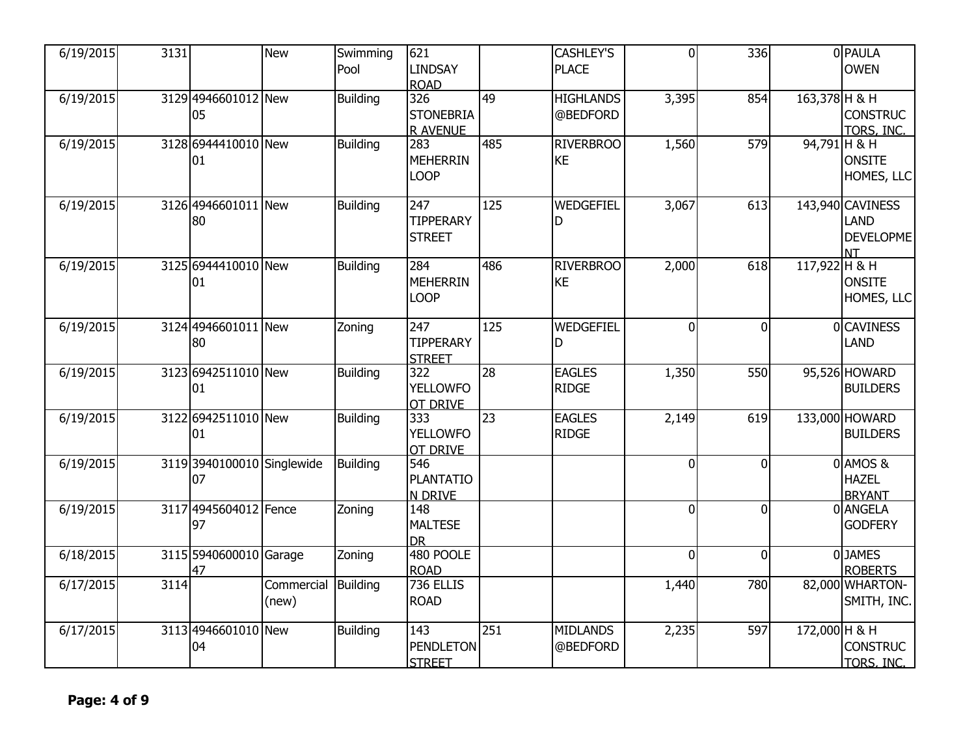| 6/19/2015 | 3131 |                                  | <b>New</b>                   | Swimming<br>Pool | 621<br><b>LINDSAY</b><br><b>ROAD</b>       |                 | <b>CASHLEY'S</b><br><b>PLACE</b> | $\Omega$       | $\overline{336}$ |               | 0 PAULA<br><b>OWEN</b>                             |
|-----------|------|----------------------------------|------------------------------|------------------|--------------------------------------------|-----------------|----------------------------------|----------------|------------------|---------------|----------------------------------------------------|
| 6/19/2015 |      | 3129 4946601012 New<br>05        |                              | <b>Building</b>  | 326<br><b>STONEBRIA</b><br><b>R AVENUE</b> | 49              | <b>HIGHLANDS</b><br>@BEDFORD     | 3,395          | 854              | 163,378 H & H | <b>CONSTRUC</b><br>TORS, INC.                      |
| 6/19/2015 |      | 3128 6944410010 New<br>01        |                              | <b>Building</b>  | 283<br><b>MEHERRIN</b><br><b>LOOP</b>      | 485             | <b>RIVERBROO</b><br><b>KE</b>    | 1,560          | 579              | 94,791 H & H  | <b>ONSITE</b><br>HOMES, LLC                        |
| 6/19/2015 |      | 3126 4946601011 New<br>80        |                              | <b>Building</b>  | 247<br><b>TIPPERARY</b><br><b>STREET</b>   | 125             | WEDGEFIEL<br>D                   | 3,067          | 613              |               | 143,940 CAVINESS<br>LAND<br>DEVELOPME<br><b>NT</b> |
| 6/19/2015 |      | 3125 6944410010 New<br>01        |                              | <b>Building</b>  | 284<br><b>MEHERRIN</b><br><b>LOOP</b>      | 486             | <b>RIVERBROO</b><br><b>KE</b>    | 2,000          | 618              | 117,922 H & H | <b>ONSITE</b><br>HOMES, LLC                        |
| 6/19/2015 |      | 3124 4946601011 New<br>80        |                              | Zoning           | 247<br><b>TIPPERARY</b><br><b>STREET</b>   | 125             | WEDGEFIEL<br>D                   | $\overline{0}$ | $\Omega$         |               | 0 CAVINESS<br>LAND                                 |
| 6/19/2015 |      | 3123 6942511010 New<br>01        |                              | <b>Building</b>  | 322<br><b>YELLOWFO</b><br>OT DRIVE         | 28              | <b>EAGLES</b><br><b>RIDGE</b>    | 1,350          | 550              |               | 95,526 HOWARD<br><b>BUILDERS</b>                   |
| 6/19/2015 |      | 3122 6942511010 New<br>01        |                              | <b>Building</b>  | 333<br><b>YELLOWFO</b><br>OT DRIVE         | $\overline{23}$ | <b>EAGLES</b><br><b>RIDGE</b>    | 2,149          | 619              |               | 133,000 HOWARD<br><b>BUILDERS</b>                  |
| 6/19/2015 |      | 3119 3940100010 Singlewide<br>07 |                              | <b>Building</b>  | 546<br><b>PLANTATIO</b><br>N DRIVE         |                 |                                  | $\overline{0}$ | $\overline{0}$   |               | 0 AMOS &<br><b>HAZEL</b><br><b>BRYANT</b>          |
| 6/19/2015 |      | 3117 4945604012 Fence<br>97      |                              | Zoning           | 148<br><b>MALTESE</b><br><b>DR</b>         |                 |                                  | $\overline{0}$ | $\overline{0}$   |               | 0 ANGELA<br><b>GODFERY</b>                         |
| 6/18/2015 |      | 3115 5940600010 Garage<br>47     |                              | Zoning           | 480 POOLE<br><b>ROAD</b>                   |                 |                                  | $\overline{0}$ | $\overline{0}$   |               | 0JAMES<br><b>ROBERTS</b>                           |
| 6/17/2015 | 3114 |                                  | Commercial Building<br>(new) |                  | 736 ELLIS<br><b>ROAD</b>                   |                 |                                  | 1,440          | 780              |               | 82,000 WHARTON-<br>SMITH, INC.                     |
| 6/17/2015 |      | 3113 4946601010 New<br>04        |                              | <b>Building</b>  | 143<br><b>PENDLETON</b><br><b>STREET</b>   | 251             | <b>MIDLANDS</b><br>@BEDFORD      | 2,235          | 597              | 172,000 H & H | <b>CONSTRUC</b><br>TORS, INC.                      |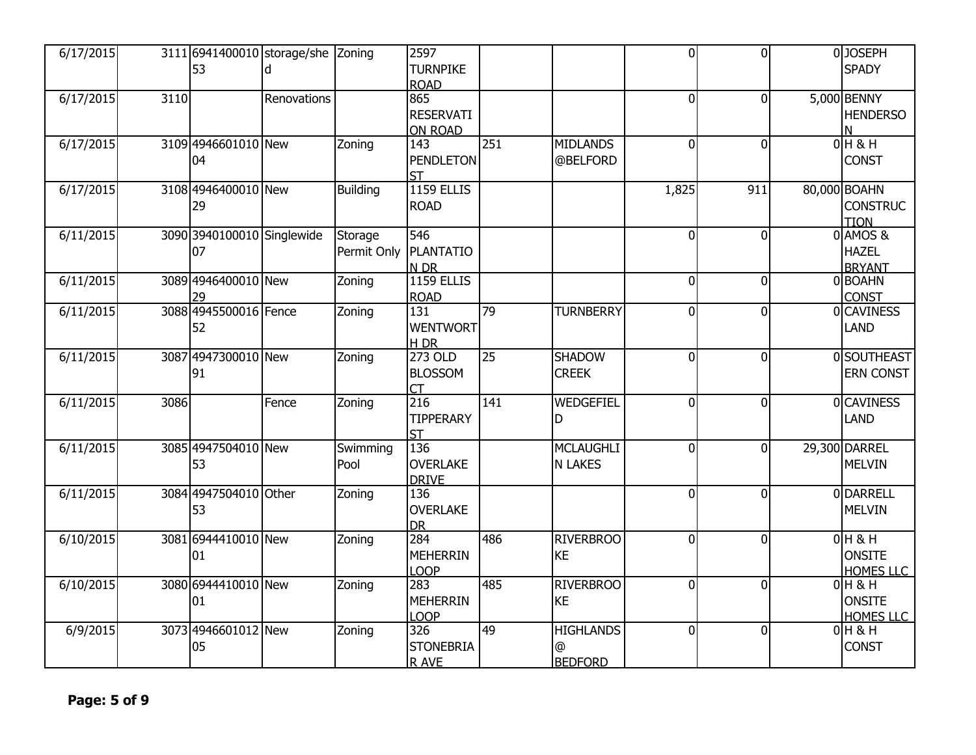| 6/17/2015 |      | 53                               | 3111 6941400010 storage/she Zoning |                        | 2597<br><b>TURNPIKE</b><br><b>ROAD</b>    |     |                                                  | $\overline{0}$ | 0l             | 0JOSEPH<br><b>SPADY</b>                        |
|-----------|------|----------------------------------|------------------------------------|------------------------|-------------------------------------------|-----|--------------------------------------------------|----------------|----------------|------------------------------------------------|
| 6/17/2015 | 3110 |                                  | Renovations                        |                        | 865<br><b>RESERVATI</b><br><b>ON ROAD</b> |     |                                                  | $\overline{0}$ | $\overline{0}$ | 5,000 BENNY<br><b>HENDERSO</b><br>N            |
| 6/17/2015 |      | 3109 4946601010 New<br>04        |                                    | Zoning                 | 143<br><b>PENDLETON</b><br><b>ST</b>      | 251 | <b>MIDLANDS</b><br>@BELFORD                      | $\overline{0}$ | $\overline{0}$ | $0H$ & H<br><b>CONST</b>                       |
| 6/17/2015 |      | 3108 4946400010 New<br>29        |                                    | <b>Building</b>        | <b>1159 ELLIS</b><br><b>ROAD</b>          |     |                                                  | 1,825          | 911            | 80,000 BOAHN<br><b>CONSTRUC</b><br><b>TION</b> |
| 6/11/2015 |      | 3090 3940100010 Singlewide<br>07 |                                    | Storage<br>Permit Only | 546<br>PLANTATIO<br>N DR                  |     |                                                  | $\Omega$       | $\Omega$       | 0 AMOS &<br><b>HAZEL</b><br><b>BRYANT</b>      |
| 6/11/2015 |      | 3089 4946400010 New<br>29        |                                    | Zoning                 | <b>1159 ELLIS</b><br><b>ROAD</b>          |     |                                                  | $\overline{0}$ | $\overline{0}$ | 0BOAHN<br><b>CONST</b>                         |
| 6/11/2015 |      | 3088 4945500016 Fence<br>52      |                                    | Zoning                 | 131<br><b>WENTWORT</b><br><b>H_DR</b>     | 79  | <b>TURNBERRY</b>                                 | $\overline{0}$ | $\Omega$       | 0CAVINESS<br><b>LAND</b>                       |
| 6/11/2015 |      | 3087 4947300010 New<br>91        |                                    | Zoning                 | 273 OLD<br><b>BLOSSOM</b><br>CT           | 25  | <b>SHADOW</b><br><b>CREEK</b>                    | $\overline{0}$ | $\Omega$       | 0SOUTHEAST<br>ERN CONST                        |
| 6/11/2015 | 3086 |                                  | Fence                              | Zoning                 | 216<br><b>TIPPERARY</b><br><b>ST</b>      | 141 | WEDGEFIEL<br>D                                   | $\overline{0}$ | $\Omega$       | 0CAVINESS<br><b>LAND</b>                       |
| 6/11/2015 |      | 3085 4947504010 New<br>53        |                                    | Swimming<br>Pool       | 136<br><b>OVERLAKE</b><br><b>DRIVE</b>    |     | <b>MCLAUGHLI</b><br><b>N LAKES</b>               | $\Omega$       | $\Omega$       | 29,300 DARREL<br><b>MELVIN</b>                 |
| 6/11/2015 |      | 3084 4947504010 Other<br>53      |                                    | Zoning                 | 136<br><b>OVERLAKE</b><br><b>DR</b>       |     |                                                  | $\overline{0}$ | $\overline{0}$ | 0 DARRELL<br><b>MELVIN</b>                     |
| 6/10/2015 |      | 3081 6944410010 New<br>01        |                                    | Zoning                 | 284<br><b>MEHERRIN</b><br>LOOP            | 486 | <b>RIVERBROO</b><br><b>KE</b>                    | $\overline{0}$ | $\overline{0}$ | $0H$ & H<br><b>ONSITE</b><br><b>HOMES LLC</b>  |
| 6/10/2015 |      | 3080 6944410010 New<br>01        |                                    | Zoning                 | 283<br><b>MEHERRIN</b><br>LOOP            | 485 | <b>RIVERBROO</b><br><b>KE</b>                    | $\overline{0}$ | $\overline{0}$ | $0H$ & H<br><b>ONSITE</b><br><b>HOMES LLC</b>  |
| 6/9/2015  |      | 3073 4946601012 New<br>05        |                                    | Zoning                 | 326<br><b>STONEBRIA</b><br>R AVE          | 49  | <b>HIGHLANDS</b><br>$^{\circ}$<br><b>BEDFORD</b> | $\overline{0}$ | $\Omega$       | $0H$ & H<br><b>CONST</b>                       |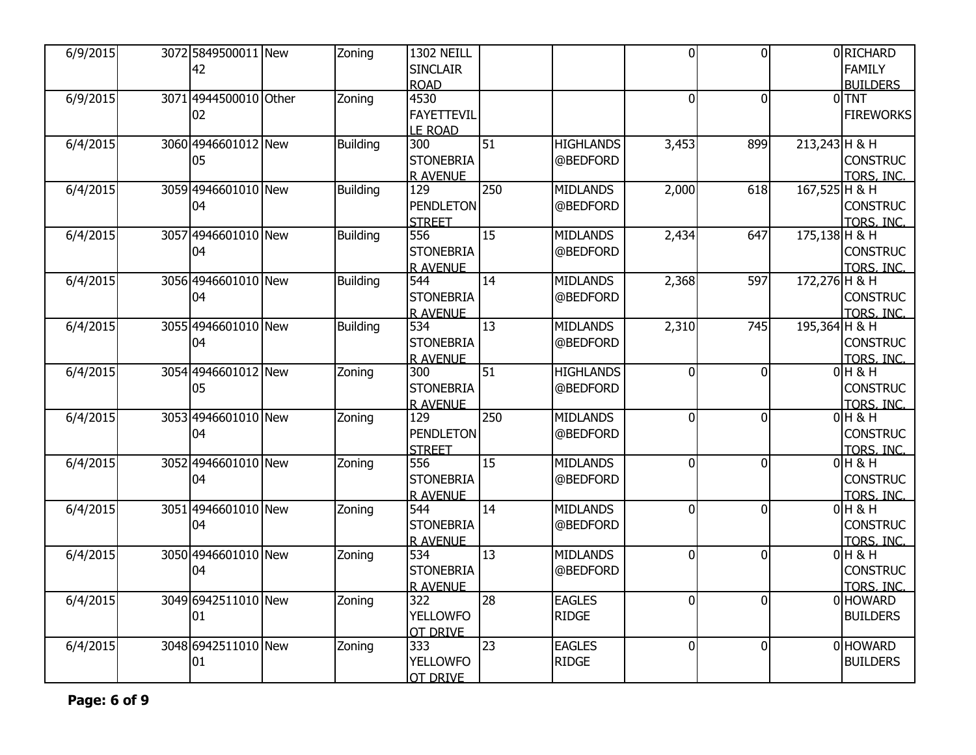| 6/9/2015 | 3072 5849500011 New<br>42   | Zoning          | <b>1302 NEILL</b><br><b>SINCLAIR</b><br><b>ROAD</b> |                 |                               | $\overline{0}$ | $\overline{0}$ |                 | 0 RICHARD<br><b>FAMILY</b><br><b>BUILDERS</b> |
|----------|-----------------------------|-----------------|-----------------------------------------------------|-----------------|-------------------------------|----------------|----------------|-----------------|-----------------------------------------------|
| 6/9/2015 | 3071 4944500010 Other<br>02 | Zoning          | 4530<br><b>FAYETTEVIL</b><br><b>LE ROAD</b>         |                 |                               | $\mathbf 0$    | 0              |                 | $0$ TNT<br><b>FIREWORKS</b>                   |
| 6/4/2015 | 3060 4946601012 New<br>05   | <b>Building</b> | 300<br><b>STONEBRIA</b><br>R AVENUE                 | 51              | <b>HIGHLANDS</b><br>@BEDFORD  | 3,453          | 899            | $213,243$ H & H | <b>CONSTRUC</b><br>TORS, INC.                 |
| 6/4/2015 | 3059 4946601010 New<br>04   | <b>Building</b> | 129<br><b>PENDLETON</b><br><b>STREET</b>            | 250             | <b>MIDLANDS</b><br>@BEDFORD   | 2,000          | 618            | 167,525 H & H   | <b>CONSTRUC</b><br>TORS, INC.                 |
| 6/4/2015 | 3057 4946601010 New<br>04   | <b>Building</b> | 556<br><b>STONEBRIA</b><br><b>R AVENUE</b>          | 15              | <b>MIDLANDS</b><br>@BEDFORD   | 2,434          | 647            | 175,138 H & H   | <b>CONSTRUC</b><br>TORS, INC.                 |
| 6/4/2015 | 3056 4946601010 New<br>04   | <b>Building</b> | 544<br><b>STONEBRIA</b><br><b>R AVENUE</b>          | 14              | <b>MIDLANDS</b><br>@BEDFORD   | 2,368          | 597            | 172,276 H & H   | <b>CONSTRUC</b><br>TORS, INC.                 |
| 6/4/2015 | 3055 4946601010 New<br>04   | <b>Building</b> | 534<br><b>STONEBRIA</b><br><b>R AVENUE</b>          | 13              | <b>MIDLANDS</b><br>@BEDFORD   | 2,310          | 745            | 195,364 H & H   | <b>CONSTRUC</b><br>TORS, INC.                 |
| 6/4/2015 | 3054 4946601012 New<br>05   | Zoning          | 300<br><b>STONEBRIA</b><br><b>R AVENUE</b>          | 51              | <b>HIGHLANDS</b><br>@BEDFORD  | $\overline{0}$ | $\Omega$       |                 | $0H$ & H<br><b>CONSTRUC</b><br>TORS, INC.     |
| 6/4/2015 | 3053 4946601010 New<br>04   | Zoning          | 129<br><b>PENDLETON</b><br><b>STREET</b>            | 250             | <b>MIDLANDS</b><br>@BEDFORD   | $\overline{0}$ | $\mathbf{0}$   |                 | $0H$ & H<br><b>CONSTRUC</b><br>TORS, INC.     |
| 6/4/2015 | 3052 4946601010 New<br>04   | Zoning          | 556<br><b>STONEBRIA</b><br><b>R AVENUE</b>          | 15              | <b>MIDLANDS</b><br>@BEDFORD   | $\overline{0}$ | $\overline{0}$ |                 | $0H$ & H<br><b>CONSTRUC</b><br>TORS, INC.     |
| 6/4/2015 | 3051 4946601010 New<br>04   | Zoning          | 544<br><b>STONEBRIA</b><br><b>R AVENUE</b>          | $\overline{14}$ | <b>MIDLANDS</b><br>@BEDFORD   | $\Omega$       | $\Omega$       |                 | $0H$ & H<br><b>CONSTRUC</b><br>TORS, INC.     |
| 6/4/2015 | 3050 4946601010 New<br>04   | Zoning          | 534<br><b>STONEBRIA</b><br><b>R AVENUE</b>          | 13              | <b>MIDLANDS</b><br>@BEDFORD   | $\overline{0}$ | $\mathbf{0}$   |                 | $0$ H & H<br><b>CONSTRUC</b><br>TORS, INC.    |
| 6/4/2015 | 3049 6942511010 New<br>01   | Zoning          | 322<br><b>YELLOWFO</b><br><b>OT DRIVE</b>           | $\overline{28}$ | <b>EAGLES</b><br><b>RIDGE</b> | $\overline{0}$ | $\overline{0}$ |                 | 0 HOWARD<br><b>BUILDERS</b>                   |
| 6/4/2015 | 3048 6942511010 New<br>01   | Zoning          | 333<br><b>YELLOWFO</b><br><b>OT DRIVE</b>           | 23              | <b>EAGLES</b><br><b>RIDGE</b> | $\Omega$       | $\Omega$       |                 | 0 HOWARD<br><b>BUILDERS</b>                   |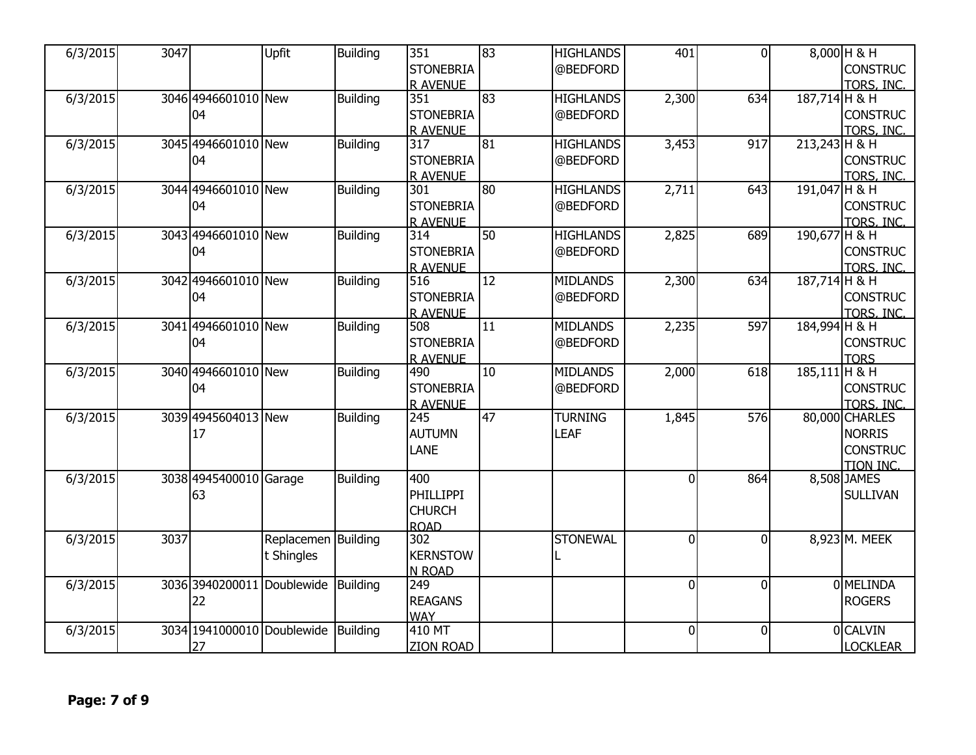| 6/3/2015 | 3047 |                            | Upfit               | Building        | 351              | $\overline{83}$ | <b>HIGHLANDS</b> | 401            | $\Omega$       |                 | 8,000 H & H      |
|----------|------|----------------------------|---------------------|-----------------|------------------|-----------------|------------------|----------------|----------------|-----------------|------------------|
|          |      |                            |                     |                 | <b>STONEBRIA</b> |                 | @BEDFORD         |                |                |                 | <b>CONSTRUC</b>  |
|          |      |                            |                     |                 | <b>R AVENUE</b>  |                 |                  |                |                |                 | TORS, INC.       |
| 6/3/2015 |      | 3046 4946601010 New        |                     | <b>Building</b> | 351              | 83              | <b>HIGHLANDS</b> | 2,300          | 634            | 187,714 H & H   |                  |
|          |      | 04                         |                     |                 | <b>STONEBRIA</b> |                 | @BEDFORD         |                |                |                 | <b>CONSTRUC</b>  |
|          |      |                            |                     |                 | <b>R AVENUE</b>  |                 |                  |                |                |                 | TORS, INC.       |
| 6/3/2015 |      | 3045 4946601010 New        |                     | <b>Building</b> | 317              | 81              | <b>HIGHLANDS</b> | 3,453          | 917            | 213,243 H & H   |                  |
|          |      | 04                         |                     |                 | <b>STONEBRIA</b> |                 | @BEDFORD         |                |                |                 | <b>CONSTRUC</b>  |
|          |      |                            |                     |                 | <b>R AVENUE</b>  |                 |                  |                |                |                 | TORS, INC.       |
| 6/3/2015 |      | 3044 4946601010 New        |                     | <b>Building</b> | 301              | 80              | <b>HIGHLANDS</b> | 2,711          | 643            | 191,047 H & H   |                  |
|          |      | 04                         |                     |                 | <b>STONEBRIA</b> |                 | @BEDFORD         |                |                |                 | <b>CONSTRUC</b>  |
|          |      |                            |                     |                 | <b>R AVENUE</b>  |                 |                  |                |                |                 | TORS, INC.       |
| 6/3/2015 |      | 3043 4946601010 New        |                     | <b>Building</b> | 314              | 50              | <b>HIGHLANDS</b> | 2,825          | 689            | 190,677 H & H   |                  |
|          |      | 04                         |                     |                 | <b>STONEBRIA</b> |                 | @BEDFORD         |                |                |                 | <b>CONSTRUC</b>  |
|          |      |                            |                     |                 | <b>R AVENUE</b>  |                 |                  |                |                |                 | TORS, INC.       |
| 6/3/2015 |      | 3042 4946601010 New        |                     | <b>Building</b> | 516              | 12              | <b>MIDLANDS</b>  | 2,300          | 634            | 187,714 H & H   |                  |
|          |      | 04                         |                     |                 | <b>STONEBRIA</b> |                 | @BEDFORD         |                |                |                 | <b>CONSTRUC</b>  |
|          |      |                            |                     |                 | <b>R AVENUE</b>  |                 |                  |                |                |                 | TORS, INC.       |
| 6/3/2015 |      | 3041 4946601010 New        |                     | <b>Building</b> | 508              | $\overline{11}$ | <b>MIDLANDS</b>  | 2,235          | 597            | 184,994 H & H   |                  |
|          |      | 04                         |                     |                 | <b>STONEBRIA</b> |                 | @BEDFORD         |                |                |                 | <b>CONSTRUC</b>  |
|          |      |                            |                     |                 | <b>R AVENUE</b>  |                 |                  |                |                |                 | <b>TORS</b>      |
| 6/3/2015 |      | 3040 4946601010 New        |                     | <b>Building</b> | 490              | 10              | <b>MIDLANDS</b>  | 2,000          | 618            | $185,111$ H & H |                  |
|          |      | 04                         |                     |                 | <b>STONEBRIA</b> |                 | @BEDFORD         |                |                |                 | <b>CONSTRUC</b>  |
|          |      |                            |                     |                 | <b>R AVENUE</b>  |                 |                  |                |                |                 | TORS, INC.       |
| 6/3/2015 |      | 3039 4945604013 New        |                     | <b>Building</b> | 245              | 47              | <b>TURNING</b>   | 1,845          | 576            |                 | 80,000 CHARLES   |
|          |      | 17                         |                     |                 | <b>AUTUMN</b>    |                 | LEAF             |                |                |                 | <b>NORRIS</b>    |
|          |      |                            |                     |                 | LANE             |                 |                  |                |                |                 | <b>CONSTRUC</b>  |
|          |      |                            |                     |                 |                  |                 |                  |                |                |                 | <b>TION INC.</b> |
| 6/3/2015 |      | 3038 4945400010 Garage     |                     | <b>Building</b> | 400              |                 |                  | $\overline{0}$ | 864            |                 | 8,508 JAMES      |
|          |      | 63                         |                     |                 | <b>PHILLIPPI</b> |                 |                  |                |                |                 | <b>SULLIVAN</b>  |
|          |      |                            |                     |                 | <b>CHURCH</b>    |                 |                  |                |                |                 |                  |
|          |      |                            |                     |                 | <b>ROAD</b>      |                 |                  |                |                |                 |                  |
| 6/3/2015 | 3037 |                            | Replacemen Building |                 | 302              |                 | <b>STONEWAL</b>  | $\overline{0}$ | $\Omega$       |                 | 8,923 M. MEEK    |
|          |      |                            | t Shingles          |                 | <b>KERNSTOW</b>  |                 |                  |                |                |                 |                  |
|          |      |                            |                     |                 | N ROAD           |                 |                  |                |                |                 |                  |
| 6/3/2015 |      | 3036 3940200011            | Doublewide          | <b>Building</b> | 249              |                 |                  | $\overline{0}$ | $\overline{0}$ |                 | 0 MELINDA        |
|          |      | 22                         |                     |                 | <b>REAGANS</b>   |                 |                  |                |                |                 | <b>ROGERS</b>    |
|          |      |                            |                     |                 | <b>WAY</b>       |                 |                  |                |                |                 |                  |
| 6/3/2015 |      | 3034 1941000010 Doublewide |                     | <b>Building</b> | 410 MT           |                 |                  | $\overline{0}$ | $\overline{0}$ |                 | 0 CALVIN         |
|          |      | 27                         |                     |                 | <b>ZION ROAD</b> |                 |                  |                |                |                 | <b>LOCKLEAR</b>  |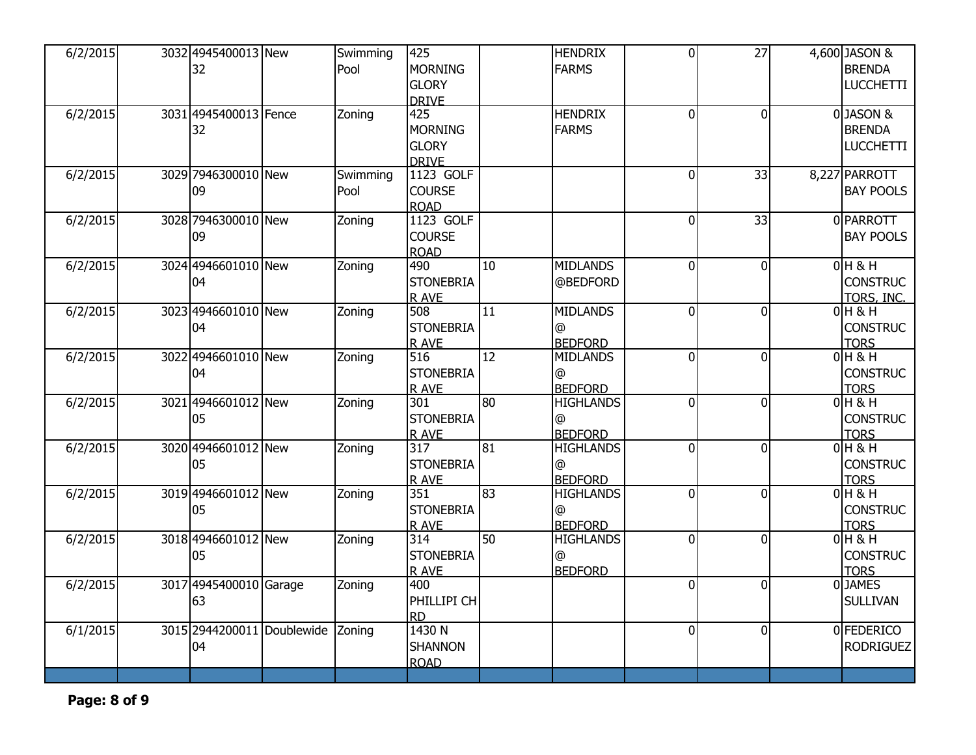| 6/2/2015 | 3032 4945400013 New<br>32   | Swimming<br>Pool | 425<br><b>MORNING</b>        |                 | <b>HENDRIX</b><br><b>FARMS</b> | $\overline{0}$ | 27             | 4,600 JASON &<br><b>BRENDA</b> |
|----------|-----------------------------|------------------|------------------------------|-----------------|--------------------------------|----------------|----------------|--------------------------------|
|          |                             |                  | <b>GLORY</b><br><b>DRIVE</b> |                 |                                |                |                | <b>LUCCHETTI</b>               |
| 6/2/2015 | 3031 4945400013 Fence<br>32 | Zoning           | 425<br><b>MORNING</b>        |                 | <b>HENDRIX</b><br><b>FARMS</b> | $\mathbf 0$    | <sup>0</sup>   | 0JASON &<br><b>BRENDA</b>      |
|          |                             |                  | <b>GLORY</b>                 |                 |                                |                |                | <b>LUCCHETTI</b>               |
|          |                             |                  | <b>DRIVE</b>                 |                 |                                |                |                |                                |
| 6/2/2015 | 3029 7946300010 New         | Swimming         | 1123 GOLF                    |                 |                                | $\overline{0}$ | 33             | 8,227 PARROTT                  |
|          | 09                          | Pool             | <b>COURSE</b><br><b>ROAD</b> |                 |                                |                |                | <b>BAY POOLS</b>               |
| 6/2/2015 | 3028 7946300010 New         | Zoning           | 1123 GOLF                    |                 |                                | $\mathbf 0$    | 33             | 0 PARROTT                      |
|          | 09                          |                  | <b>COURSE</b>                |                 |                                |                |                | <b>BAY POOLS</b>               |
| 6/2/2015 | 3024 4946601010 New         | Zoning           | <b>ROAD</b><br>490           | 10              | <b>MIDLANDS</b>                | $\overline{0}$ | $\mathbf{0}$   | $0H$ & H                       |
|          | 04                          |                  | <b>STONEBRIA</b>             |                 | @BEDFORD                       |                |                | <b>CONSTRUC</b>                |
|          |                             |                  | <b>RAVE</b>                  |                 |                                |                |                | TORS, INC.                     |
| 6/2/2015 | 3023 4946601010 New         | Zoning           | 508                          | 11              | <b>MIDLANDS</b>                | $\mathbf{0}$   | $\Omega$       | $0H$ & H                       |
|          | 04                          |                  | <b>STONEBRIA</b>             |                 | @                              |                |                | <b>CONSTRUC</b>                |
|          |                             |                  | R AVE                        |                 | <b>BEDFORD</b>                 |                |                | <b>TORS</b>                    |
| 6/2/2015 | 3022 4946601010 New<br>04   | Zoning           | 516<br><b>STONEBRIA</b>      | $\overline{12}$ | <b>MIDLANDS</b>                | $\mathbf{0}$   | $\Omega$       | $0H$ & H<br><b>CONSTRUC</b>    |
|          |                             |                  | R AVE                        |                 | @<br><b>BEDFORD</b>            |                |                | <b>TORS</b>                    |
| 6/2/2015 | 3021 4946601012 New         | Zoning           | 301                          | 80              | <b>HIGHLANDS</b>               | $\overline{0}$ | $\overline{0}$ | $0H$ & H                       |
|          | 05                          |                  | <b>STONEBRIA</b>             |                 | @                              |                |                | <b>CONSTRUC</b>                |
|          |                             |                  | R AVE                        |                 | <b>BEDFORD</b>                 |                |                | <b>TORS</b>                    |
| 6/2/2015 | 3020 4946601012 New         | Zoning           | 317                          | 81              | <b>HIGHLANDS</b>               | $\mathbf 0$    | $\Omega$       | $0H$ & H                       |
|          | 05                          |                  | <b>STONEBRIA</b><br>R AVE    |                 | @<br><b>BEDFORD</b>            |                |                | <b>CONSTRUC</b><br><b>TORS</b> |
| 6/2/2015 | 3019 4946601012 New         | Zoning           | 351                          | 83              | <b>HIGHLANDS</b>               | $\overline{0}$ | $\Omega$       | $0H$ & H                       |
|          | 05                          |                  | <b>STONEBRIA</b>             |                 | $\circledR$                    |                |                | <b>CONSTRUC</b>                |
|          |                             |                  | R AVE                        |                 | <b>BEDFORD</b>                 |                |                | <b>TORS</b>                    |
| 6/2/2015 | 3018 4946601012 New         | Zoning           | $\overline{314}$             | 50              | <b>HIGHLANDS</b>               | $\overline{0}$ | $\overline{0}$ | $0H$ & H                       |
|          | 05                          |                  | <b>STONEBRIA</b>             |                 | @                              |                |                | <b>CONSTRUC</b>                |
| 6/2/2015 | 3017 4945400010 Garage      | Zoning           | R AVE<br>400                 |                 | <b>BEDFORD</b>                 | $\mathbf{0}$   | $\Omega$       | <b>TORS</b><br>0JAMES          |
|          | 63                          |                  | PHILLIPI CH                  |                 |                                |                |                | <b>SULLIVAN</b>                |
|          |                             |                  | <b>RD</b>                    |                 |                                |                |                |                                |
| 6/1/2015 | 3015 2944200011 Doublewide  | Zoning           | 1430 N                       |                 |                                | $\overline{0}$ | $\mathbf{0}$   | 0 FEDERICO                     |
|          | 04                          |                  | <b>SHANNON</b>               |                 |                                |                |                | <b>RODRIGUEZ</b>               |
|          |                             |                  | <b>ROAD</b>                  |                 |                                |                |                |                                |
|          |                             |                  |                              |                 |                                |                |                |                                |